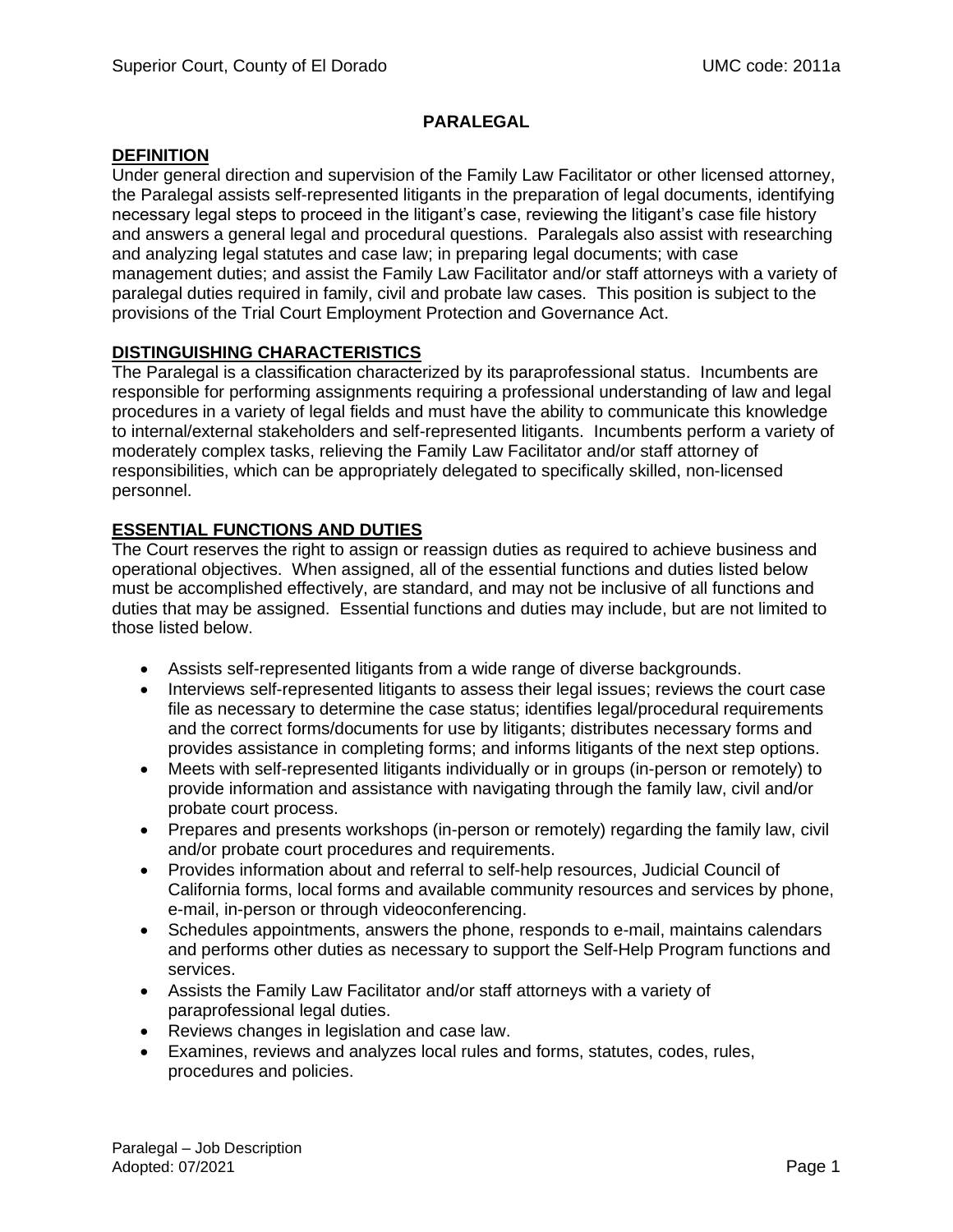# **PARALEGAL**

### **DEFINITION**

Under general direction and supervision of the Family Law Facilitator or other licensed attorney, the Paralegal assists self-represented litigants in the preparation of legal documents, identifying necessary legal steps to proceed in the litigant's case, reviewing the litigant's case file history and answers a general legal and procedural questions. Paralegals also assist with researching and analyzing legal statutes and case law; in preparing legal documents; with case management duties; and assist the Family Law Facilitator and/or staff attorneys with a variety of paralegal duties required in family, civil and probate law cases. This position is subject to the provisions of the Trial Court Employment Protection and Governance Act.

# **DISTINGUISHING CHARACTERISTICS**

The Paralegal is a classification characterized by its paraprofessional status. Incumbents are responsible for performing assignments requiring a professional understanding of law and legal procedures in a variety of legal fields and must have the ability to communicate this knowledge to internal/external stakeholders and self-represented litigants. Incumbents perform a variety of moderately complex tasks, relieving the Family Law Facilitator and/or staff attorney of responsibilities, which can be appropriately delegated to specifically skilled, non-licensed personnel.

# **ESSENTIAL FUNCTIONS AND DUTIES**

The Court reserves the right to assign or reassign duties as required to achieve business and operational objectives. When assigned, all of the essential functions and duties listed below must be accomplished effectively, are standard, and may not be inclusive of all functions and duties that may be assigned. Essential functions and duties may include, but are not limited to those listed below.

- Assists self-represented litigants from a wide range of diverse backgrounds.
- Interviews self-represented litigants to assess their legal issues; reviews the court case file as necessary to determine the case status; identifies legal/procedural requirements and the correct forms/documents for use by litigants; distributes necessary forms and provides assistance in completing forms; and informs litigants of the next step options.
- Meets with self-represented litigants individually or in groups (in-person or remotely) to provide information and assistance with navigating through the family law, civil and/or probate court process.
- Prepares and presents workshops (in-person or remotely) regarding the family law, civil and/or probate court procedures and requirements.
- Provides information about and referral to self-help resources, Judicial Council of California forms, local forms and available community resources and services by phone, e-mail, in-person or through videoconferencing.
- Schedules appointments, answers the phone, responds to e-mail, maintains calendars and performs other duties as necessary to support the Self-Help Program functions and services.
- Assists the Family Law Facilitator and/or staff attorneys with a variety of paraprofessional legal duties.
- Reviews changes in legislation and case law.
- Examines, reviews and analyzes local rules and forms, statutes, codes, rules, procedures and policies.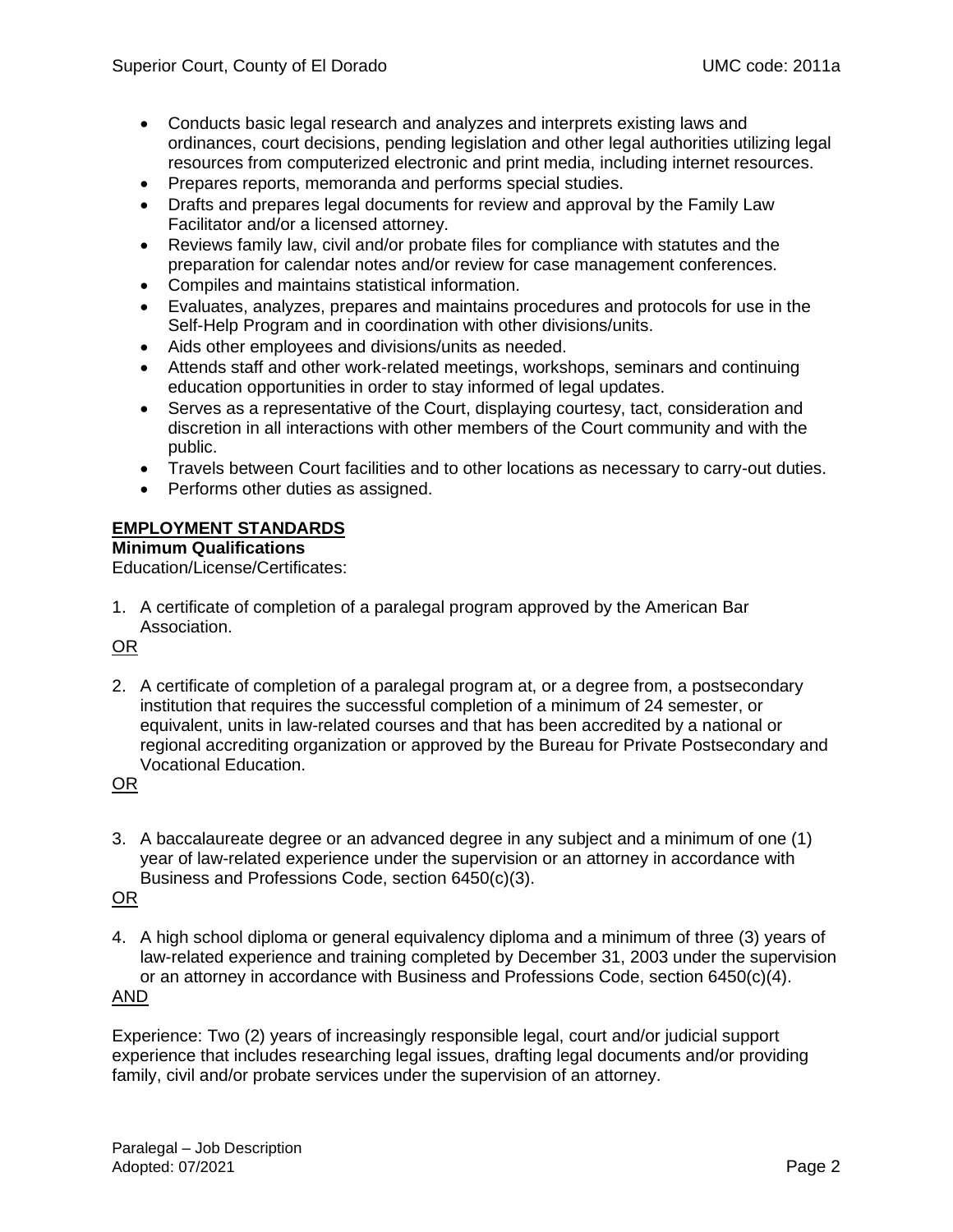- Conducts basic legal research and analyzes and interprets existing laws and ordinances, court decisions, pending legislation and other legal authorities utilizing legal resources from computerized electronic and print media, including internet resources.
- Prepares reports, memoranda and performs special studies.
- Drafts and prepares legal documents for review and approval by the Family Law Facilitator and/or a licensed attorney.
- Reviews family law, civil and/or probate files for compliance with statutes and the preparation for calendar notes and/or review for case management conferences.
- Compiles and maintains statistical information.
- Evaluates, analyzes, prepares and maintains procedures and protocols for use in the Self-Help Program and in coordination with other divisions/units.
- Aids other employees and divisions/units as needed.
- Attends staff and other work-related meetings, workshops, seminars and continuing education opportunities in order to stay informed of legal updates.
- Serves as a representative of the Court, displaying courtesy, tact, consideration and discretion in all interactions with other members of the Court community and with the public.
- Travels between Court facilities and to other locations as necessary to carry-out duties.
- Performs other duties as assigned.

## **EMPLOYMENT STANDARDS**

#### **Minimum Qualifications**

Education/License/Certificates:

1. A certificate of completion of a paralegal program approved by the American Bar Association.

#### OR

2. A certificate of completion of a paralegal program at, or a degree from, a postsecondary institution that requires the successful completion of a minimum of 24 semester, or equivalent, units in law-related courses and that has been accredited by a national or regional accrediting organization or approved by the Bureau for Private Postsecondary and Vocational Education.

## OR

3. A baccalaureate degree or an advanced degree in any subject and a minimum of one (1) year of law-related experience under the supervision or an attorney in accordance with Business and Professions Code, section 6450(c)(3).

# OR

4. A high school diploma or general equivalency diploma and a minimum of three (3) years of law-related experience and training completed by December 31, 2003 under the supervision or an attorney in accordance with Business and Professions Code, section 6450(c)(4).

# AND

Experience: Two (2) years of increasingly responsible legal, court and/or judicial support experience that includes researching legal issues, drafting legal documents and/or providing family, civil and/or probate services under the supervision of an attorney.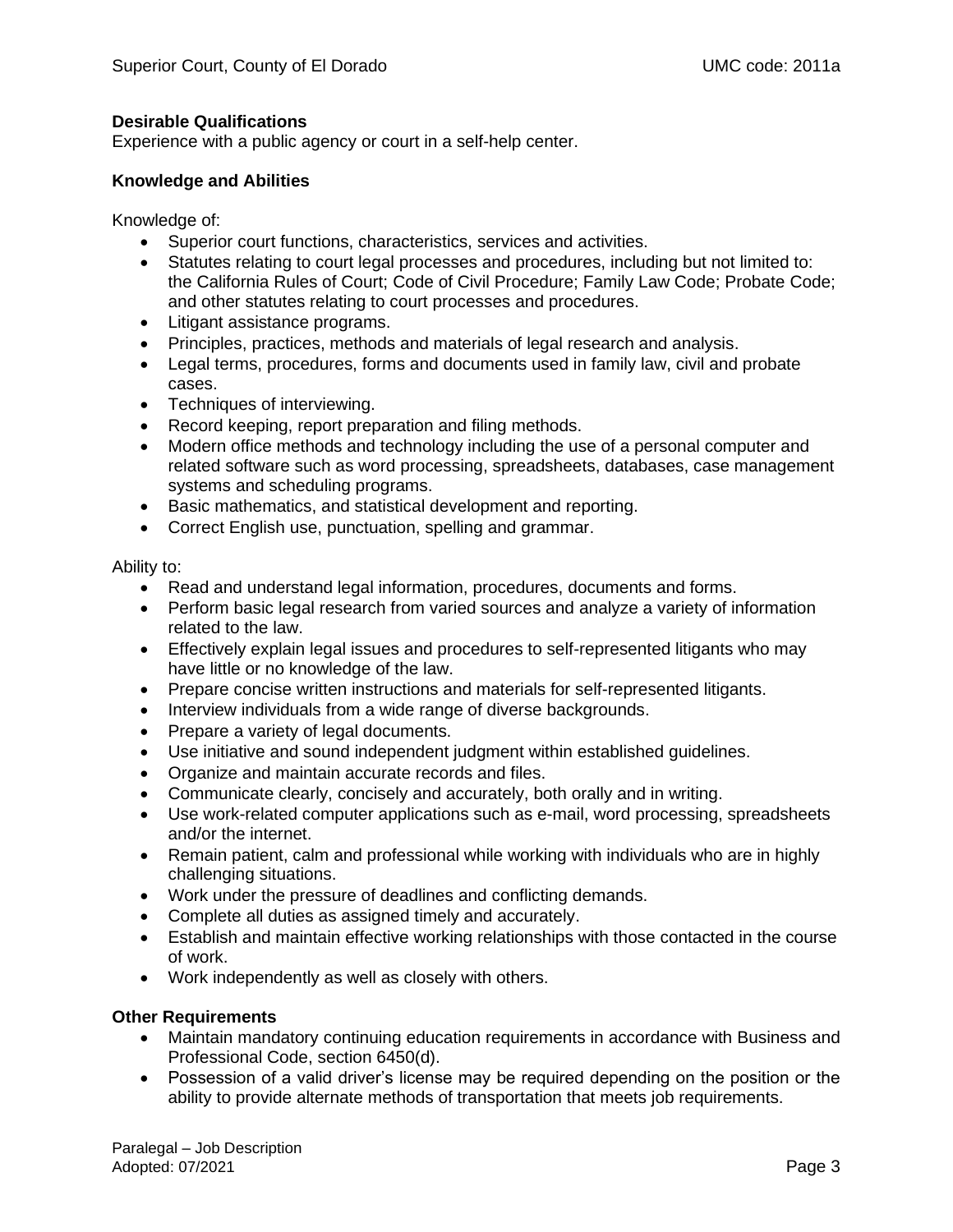# **Desirable Qualifications**

Experience with a public agency or court in a self-help center.

## **Knowledge and Abilities**

Knowledge of:

- Superior court functions, characteristics, services and activities.
- Statutes relating to court legal processes and procedures, including but not limited to: the California Rules of Court; Code of Civil Procedure; Family Law Code; Probate Code; and other statutes relating to court processes and procedures.
- Litigant assistance programs.
- Principles, practices, methods and materials of legal research and analysis.
- Legal terms, procedures, forms and documents used in family law, civil and probate cases.
- Techniques of interviewing.
- Record keeping, report preparation and filing methods.
- Modern office methods and technology including the use of a personal computer and related software such as word processing, spreadsheets, databases, case management systems and scheduling programs.
- Basic mathematics, and statistical development and reporting.
- Correct English use, punctuation, spelling and grammar.

Ability to:

- Read and understand legal information, procedures, documents and forms.
- Perform basic legal research from varied sources and analyze a variety of information related to the law.
- Effectively explain legal issues and procedures to self-represented litigants who may have little or no knowledge of the law.
- Prepare concise written instructions and materials for self-represented litigants.
- Interview individuals from a wide range of diverse backgrounds.
- Prepare a variety of legal documents.
- Use initiative and sound independent judgment within established guidelines.
- Organize and maintain accurate records and files.
- Communicate clearly, concisely and accurately, both orally and in writing.
- Use work-related computer applications such as e-mail, word processing, spreadsheets and/or the internet.
- Remain patient, calm and professional while working with individuals who are in highly challenging situations.
- Work under the pressure of deadlines and conflicting demands.
- Complete all duties as assigned timely and accurately.
- Establish and maintain effective working relationships with those contacted in the course of work.
- Work independently as well as closely with others.

## **Other Requirements**

- Maintain mandatory continuing education requirements in accordance with Business and Professional Code, section 6450(d).
- Possession of a valid driver's license may be required depending on the position or the ability to provide alternate methods of transportation that meets job requirements.